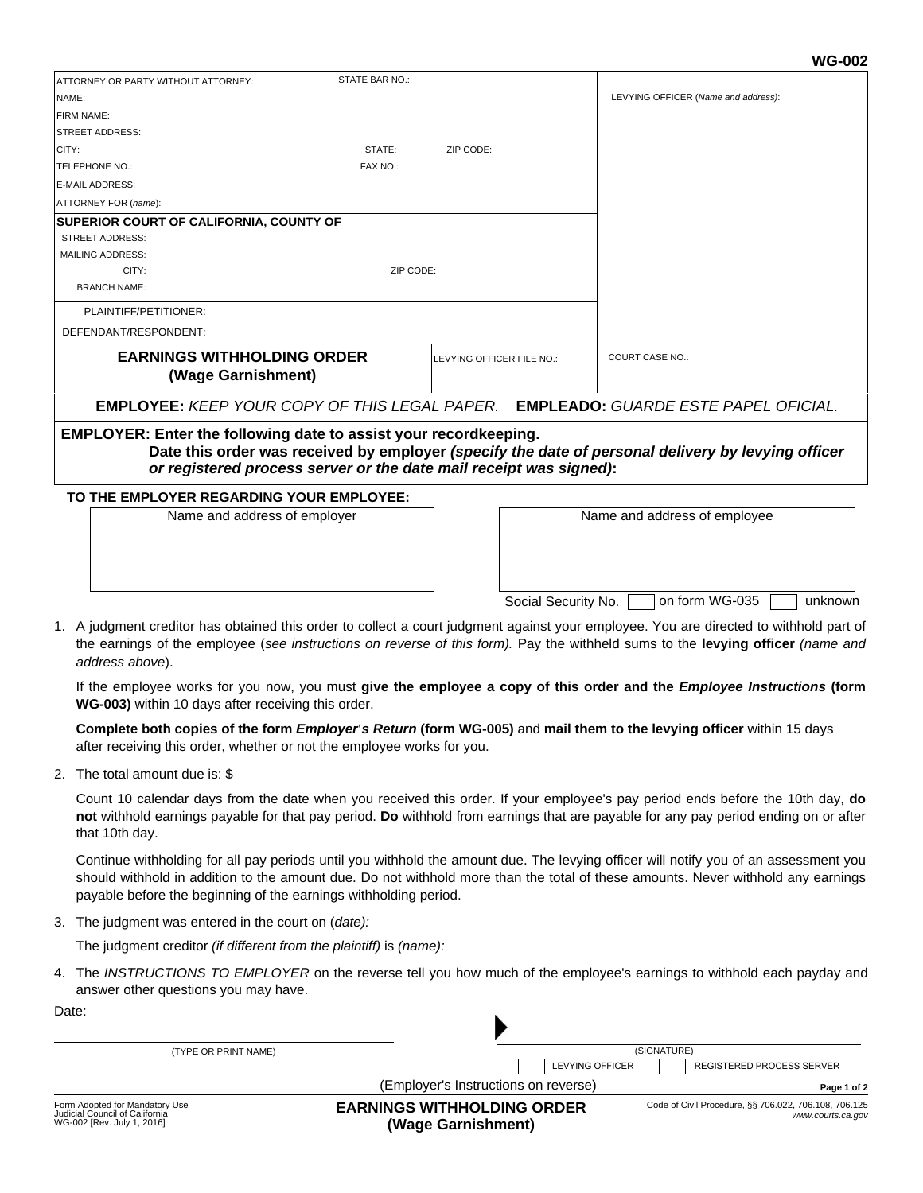on form WG-035 and unknown

|                                                                                                                                                                                                                                                     |                                                         |                |                           |  | ww-vuz                                      |  |
|-----------------------------------------------------------------------------------------------------------------------------------------------------------------------------------------------------------------------------------------------------|---------------------------------------------------------|----------------|---------------------------|--|---------------------------------------------|--|
|                                                                                                                                                                                                                                                     | ATTORNEY OR PARTY WITHOUT ATTORNEY:                     | STATE BAR NO.: |                           |  |                                             |  |
| NAME:                                                                                                                                                                                                                                               |                                                         |                |                           |  | LEVYING OFFICER (Name and address):         |  |
| FIRM NAME:                                                                                                                                                                                                                                          |                                                         |                |                           |  |                                             |  |
|                                                                                                                                                                                                                                                     | <b>STREET ADDRESS:</b>                                  |                |                           |  |                                             |  |
| CITY:                                                                                                                                                                                                                                               |                                                         | STATE:         | ZIP CODE:                 |  |                                             |  |
|                                                                                                                                                                                                                                                     | TELEPHONE NO.:                                          | FAX NO.:       |                           |  |                                             |  |
|                                                                                                                                                                                                                                                     | <b>E-MAIL ADDRESS:</b>                                  |                |                           |  |                                             |  |
|                                                                                                                                                                                                                                                     | ATTORNEY FOR (name):                                    |                |                           |  |                                             |  |
|                                                                                                                                                                                                                                                     | <b>SUPERIOR COURT OF CALIFORNIA, COUNTY OF</b>          |                |                           |  |                                             |  |
|                                                                                                                                                                                                                                                     | <b>STREET ADDRESS:</b>                                  |                |                           |  |                                             |  |
|                                                                                                                                                                                                                                                     | <b>MAILING ADDRESS:</b>                                 |                |                           |  |                                             |  |
|                                                                                                                                                                                                                                                     | CITY:                                                   | ZIP CODE:      |                           |  |                                             |  |
|                                                                                                                                                                                                                                                     | <b>BRANCH NAME:</b>                                     |                |                           |  |                                             |  |
| PLAINTIFF/PETITIONER:                                                                                                                                                                                                                               |                                                         |                |                           |  |                                             |  |
|                                                                                                                                                                                                                                                     | DEFENDANT/RESPONDENT:                                   |                |                           |  |                                             |  |
|                                                                                                                                                                                                                                                     | <b>EARNINGS WITHHOLDING ORDER</b><br>(Wage Garnishment) |                | LEVYING OFFICER FILE NO.: |  | <b>COURT CASE NO.:</b>                      |  |
|                                                                                                                                                                                                                                                     | <b>EMPLOYEE: KEEP YOUR COPY OF THIS LEGAL PAPER.</b>    |                |                           |  | <b>EMPLEADO:</b> GUARDE ESTE PAPEL OFICIAL. |  |
| <b>EMPLOYER: Enter the following date to assist your recordkeeping.</b><br>Date this order was received by employer (specify the date of personal delivery by levying officer<br>or registered process server or the date mail receipt was signed): |                                                         |                |                           |  |                                             |  |
| TO THE EMPLOYER REGARDING YOUR EMPLOYEE:                                                                                                                                                                                                            |                                                         |                |                           |  |                                             |  |
|                                                                                                                                                                                                                                                     | Name and address of employer                            |                |                           |  | Name and address of employee                |  |

1. A judgment creditor has obtained this order to collect a court judgment against your employee. You are directed to withhold part of the earnings of the employee (*see instructions on reverse of this form).* Pay the withheld sums to the **levying officer** *(name and address above*).

If the employee works for you now, you must **give the employee a copy of this order and the** *Employee Instructions* **(form WG-003)** within 10 days after receiving this order.

Social Security No.

**Complete both copies of the form** *Employer***'***s Return* **(form WG-005)** and **mail them to the levying officer** within 15 days after receiving this order, whether or not the employee works for you.

2. The total amount due is: \$

Count 10 calendar days from the date when you received this order. If your employee's pay period ends before the 10th day, **do not** withhold earnings payable for that pay period. **Do** withhold from earnings that are payable for any pay period ending on or after that 10th day.

Continue withholding for all pay periods until you withhold the amount due. The levying officer will notify you of an assessment you should withhold in addition to the amount due. Do not withhold more than the total of these amounts. Never withhold any earnings payable before the beginning of the earnings withholding period.

3. The judgment was entered in the court on (*date):*

The judgment creditor *(if different from the plaintiff)* is *(name):*

4. The INSTRUCTIONS TO EMPLOYER on the reverse tell you how much of the employee's earnings to withhold each payday and answer other questions you may have.

| Date:                                                                                          |                                                                |                                                                            |  |  |  |
|------------------------------------------------------------------------------------------------|----------------------------------------------------------------|----------------------------------------------------------------------------|--|--|--|
| (TYPE OR PRINT NAME)                                                                           |                                                                | (SIGNATURE)                                                                |  |  |  |
|                                                                                                | <b>LEVYING OFFICER</b><br>(Employer's Instructions on reverse) | <b>REGISTERED PROCESS SERVER</b><br>Page 1 of 2                            |  |  |  |
| Form Adopted for Mandatory Use<br>Judicial Council of California<br>WG-002 [Rev. July 1, 2016] | <b>EARNINGS WITHHOLDING ORDER</b><br>(Wage Garnishment)        | Code of Civil Procedure, §§ 706.022, 706.108, 706.125<br>www.courts.ca.gov |  |  |  |